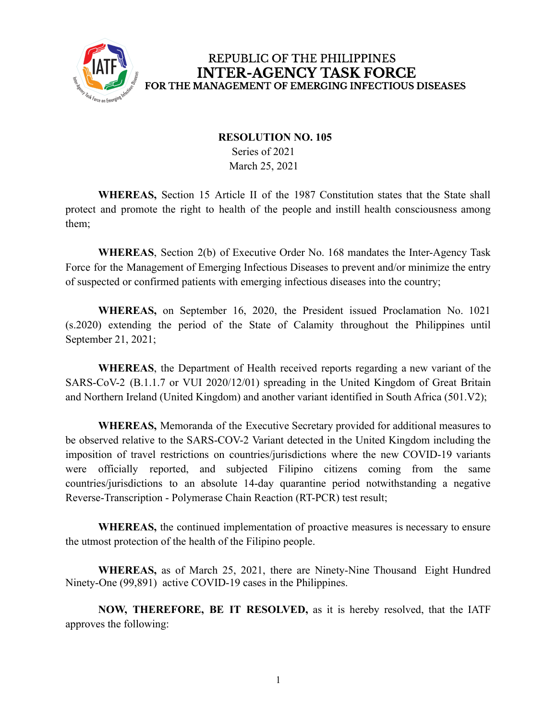

## REPUBLIC OF THE PHILIPPINES **INTER-AGENCY TASK FORCE** FOR THE MANAGEMENT OF EMERGING INFECTIOUS DISEASES

## **RESOLUTION NO. 105** Series of 2021 March 25, 2021

**WHEREAS,** Section 15 Article II of the 1987 Constitution states that the State shall protect and promote the right to health of the people and instill health consciousness among them;

**WHEREAS**, Section 2(b) of Executive Order No. 168 mandates the Inter-Agency Task Force for the Management of Emerging Infectious Diseases to prevent and/or minimize the entry of suspected or confirmed patients with emerging infectious diseases into the country;

**WHEREAS,** on September 16, 2020, the President issued Proclamation No. 1021 (s.2020) extending the period of the State of Calamity throughout the Philippines until September 21, 2021;

**WHEREAS**, the Department of Health received reports regarding a new variant of the SARS-CoV-2 (B.1.1.7 or VUI 2020/12/01) spreading in the United Kingdom of Great Britain and Northern Ireland (United Kingdom) and another variant identified in South Africa (501.V2);

**WHEREAS,** Memoranda of the Executive Secretary provided for additional measures to be observed relative to the SARS-COV-2 Variant detected in the United Kingdom including the imposition of travel restrictions on countries/jurisdictions where the new COVID-19 variants were officially reported, and subjected Filipino citizens coming from the same countries/jurisdictions to an absolute 14-day quarantine period notwithstanding a negative Reverse-Transcription - Polymerase Chain Reaction (RT-PCR) test result;

**WHEREAS,** the continued implementation of proactive measures is necessary to ensure the utmost protection of the health of the Filipino people.

**WHEREAS,** as of March 25, 2021, there are Ninety-Nine Thousand Eight Hundred Ninety-One (99,891) active COVID-19 cases in the Philippines.

**NOW, THEREFORE, BE IT RESOLVED,** as it is hereby resolved, that the IATF approves the following: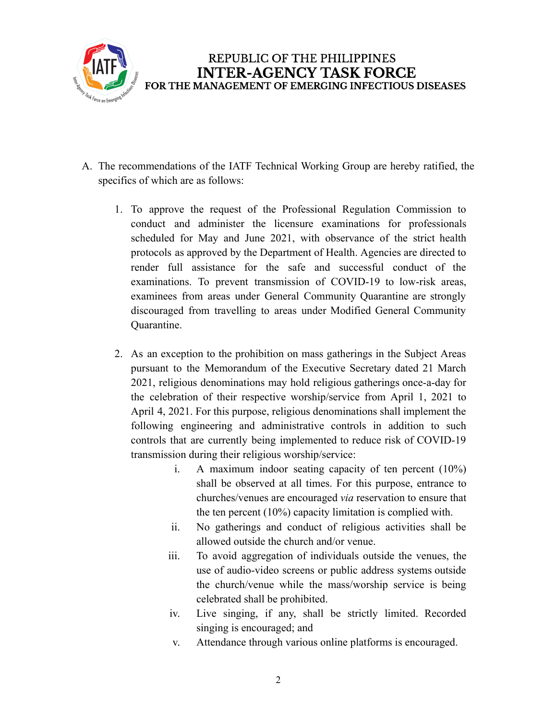

- A. The recommendations of the IATF Technical Working Group are hereby ratified, the specifics of which are as follows:
	- 1. To approve the request of the Professional Regulation Commission to conduct and administer the licensure examinations for professionals scheduled for May and June 2021, with observance of the strict health protocols as approved by the Department of Health. Agencies are directed to render full assistance for the safe and successful conduct of the examinations. To prevent transmission of COVID-19 to low-risk areas, examinees from areas under General Community Quarantine are strongly discouraged from travelling to areas under Modified General Community Quarantine.
	- 2. As an exception to the prohibition on mass gatherings in the Subject Areas pursuant to the Memorandum of the Executive Secretary dated 21 March 2021, religious denominations may hold religious gatherings once-a-day for the celebration of their respective worship/service from April 1, 2021 to April 4, 2021. For this purpose, religious denominations shall implement the following engineering and administrative controls in addition to such controls that are currently being implemented to reduce risk of COVID-19 transmission during their religious worship/service:
		- i. A maximum indoor seating capacity of ten percent (10%) shall be observed at all times. For this purpose, entrance to churches/venues are encouraged *via* reservation to ensure that the ten percent (10%) capacity limitation is complied with.
		- ii. No gatherings and conduct of religious activities shall be allowed outside the church and/or venue.
		- iii. To avoid aggregation of individuals outside the venues, the use of audio-video screens or public address systems outside the church/venue while the mass/worship service is being celebrated shall be prohibited.
		- iv. Live singing, if any, shall be strictly limited. Recorded singing is encouraged; and
		- v. Attendance through various online platforms is encouraged.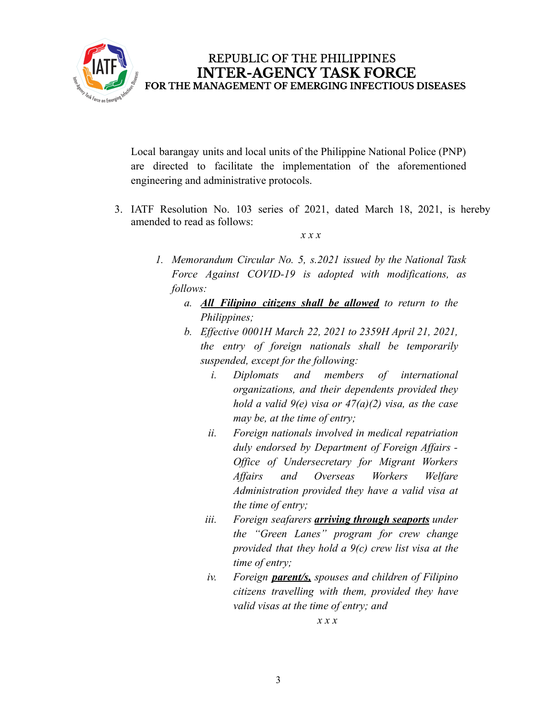

Local barangay units and local units of the Philippine National Police (PNP) are directed to facilitate the implementation of the aforementioned engineering and administrative protocols.

3. IATF Resolution No. 103 series of 2021, dated March 18, 2021, is hereby amended to read as follows:

*x x x*

- *1. Memorandum Circular No. 5, s.2021 issued by the National Task Force Against COVID-19 is adopted with modifications, as follows:*
	- *a. All Filipino citizens shall be allowed to return to the Philippines;*
	- *b. Effective 0001H March 22, 2021 to 2359H April 21, 2021, the entry of foreign nationals shall be temporarily suspended, except for the following:*
		- *i. Diplomats and members of international organizations, and their dependents provided they hold a valid 9(e) visa or 47(a)(2) visa, as the case may be, at the time of entry;*
		- *ii. Foreign nationals involved in medical repatriation duly endorsed by Department of Foreign Affairs - Office of Undersecretary for Migrant Workers Affairs and Overseas Workers Welfare Administration provided they have a valid visa at the time of entry;*
		- *iii. Foreign seafarers arriving through seaports under the "Green Lanes" program for crew change provided that they hold a 9(c) crew list visa at the time of entry;*
		- *iv. Foreign parent/s, spouses and children of Filipino citizens travelling with them, provided they have valid visas at the time of entry; and*